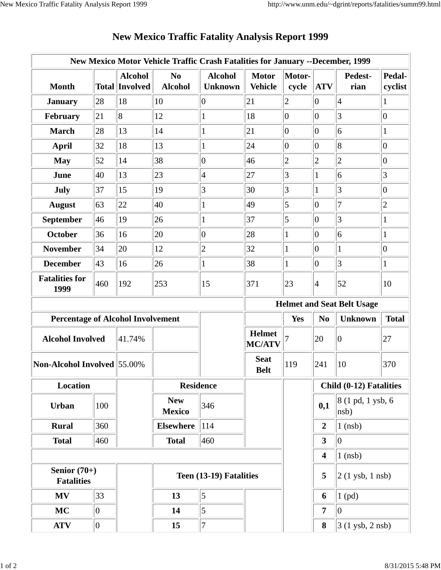| New Mexico Motor Vehicle Traffic Crash Fatalities for January --December, 1999 |             |                                         |                                  |                                  |                                |                                   |                         |                            |                   |  |
|--------------------------------------------------------------------------------|-------------|-----------------------------------------|----------------------------------|----------------------------------|--------------------------------|-----------------------------------|-------------------------|----------------------------|-------------------|--|
| <b>Month</b>                                                                   |             | <b>Alcohol</b><br><b>Total Involved</b> | N <sub>0</sub><br><b>Alcohol</b> | <b>Alcohol</b><br><b>Unknown</b> | <b>Motor</b><br><b>Vehicle</b> | Motor-<br>cycle                   | <b>ATV</b>              | Pedest-<br>rian            | Pedal-<br>cyclist |  |
| <b>January</b>                                                                 | 28          | 18                                      | 10                               | $\overline{0}$                   | 21                             | $\overline{2}$                    | $\overline{0}$          | $\vert 4$                  |                   |  |
| February                                                                       | 21          | 8                                       | 12                               | 1                                | 18                             | $ 0\rangle$                       | $\overline{0}$          | 3                          | $ 0\rangle$       |  |
| <b>March</b>                                                                   | 28          | 13                                      | 14                               | $\mathbf{1}$                     | 21                             | $ 0\rangle$                       | $\overline{0}$          | 6                          | 1                 |  |
| <b>April</b>                                                                   | 32          | 18                                      | 13                               | $\mathbf{1}$                     | 24                             | $ 0\rangle$                       | $\overline{0}$          | 8                          | $\vert 0 \vert$   |  |
| <b>May</b>                                                                     | 52          | 14                                      | 38                               | $\overline{0}$                   | 46                             | $\overline{c}$                    | $ 2\rangle$             | $\overline{c}$             | $ 0\rangle$       |  |
| June                                                                           | 40          | 13                                      | 23                               | $\vert 4$                        | 27                             | 3                                 | $\mathbf{1}$            | 6                          | 3                 |  |
| July                                                                           | 37          | 15                                      | 19                               | 3                                | 30                             | 3                                 | $\mathbf{1}$            | 3                          | $ 0\rangle$       |  |
| <b>August</b>                                                                  | 63          | 22                                      | 40                               | $\mathbf{1}$                     | 49                             | 5                                 | $\overline{0}$          | $\overline{7}$             | $\overline{c}$    |  |
| <b>September</b>                                                               | 46          | 19                                      | 26                               | $\mathbf{1}$                     | 37                             | 5                                 | $\overline{0}$          | 3                          | $\mathbf{1}$      |  |
| <b>October</b>                                                                 | 36          | 16                                      | 20                               | $\overline{0}$                   | 28                             | $\mathbf{1}$                      | $\overline{0}$          | 6                          | 1                 |  |
| <b>November</b>                                                                | 34          | 20                                      | 12                               | $\overline{c}$                   | 32                             | 1                                 | $\overline{0}$          | 1                          | $ 0\rangle$       |  |
| <b>December</b>                                                                | 43          | 16                                      | 26                               | $\mathbf{1}$                     | 38                             | $\mathbf{1}$                      | $ 0\rangle$             | 3                          | $\mathbf{1}$      |  |
| <b>Fatalities for</b><br>1999                                                  | 460         | 192                                     | 253                              | 15                               | 371                            | 23                                | $\overline{4}$          | 52                         | 10                |  |
|                                                                                |             |                                         |                                  |                                  |                                | <b>Helmet and Seat Belt Usage</b> |                         |                            |                   |  |
| <b>Percentage of Alcohol Involvement</b>                                       |             |                                         |                                  |                                  |                                | Yes                               | N <sub>0</sub>          | <b>Unknown</b>             | <b>Total</b>      |  |
| <b>Alcohol Involved</b>                                                        |             | 41.74%                                  |                                  |                                  | <b>Helmet</b><br><b>MC/ATV</b> |                                   | 20                      | $\vert 0 \vert$            | 27                |  |
| Non-Alcohol Involved 55.00%                                                    |             |                                         |                                  |                                  | <b>Seat</b><br><b>Belt</b>     | 119                               | 241                     | 10                         | 370               |  |
| Location                                                                       |             |                                         | <b>Residence</b>                 |                                  |                                |                                   | Child (0-12) Fatalities |                            |                   |  |
| Urban                                                                          | 100         |                                         | <b>New</b><br><b>Mexico</b>      | 346                              |                                |                                   | 0,1                     | 8 (1 pd, 1 ysb, 6)<br>nsb) |                   |  |
| <b>Rural</b>                                                                   | 360         |                                         | <b>Elsewhere</b>                 | <sup>114</sup>                   |                                |                                   | $\boldsymbol{2}$        | $1$ (nsb)                  |                   |  |
| <b>Total</b>                                                                   | 460         |                                         | <b>Total</b>                     | 460                              |                                |                                   | $\overline{\mathbf{3}}$ | $\overline{0}$             |                   |  |
|                                                                                |             |                                         |                                  |                                  |                                |                                   | 4                       | $1$ (nsb)                  |                   |  |
| Senior $(70+)$<br><b>Fatalities</b>                                            |             |                                         | Teen (13-19) Fatalities          |                                  |                                |                                   | 5                       | $2(1$ ysb, $1$ nsb)        |                   |  |
| <b>MV</b>                                                                      | 33          |                                         | 13                               | 5                                |                                |                                   | 6                       | $1$ (pd)                   |                   |  |
| <b>MC</b>                                                                      | $ 0\rangle$ |                                         | 14                               | 5                                |                                |                                   | 7                       | $ 0\rangle$                |                   |  |
| <b>ATV</b>                                                                     | $ 0\rangle$ |                                         | 15                               | $\tau$                           |                                |                                   | 8                       | 3 (1 ysb, 2 nsb)           |                   |  |

## **New Mexico Traffic Fatality Analysis Report 1999**